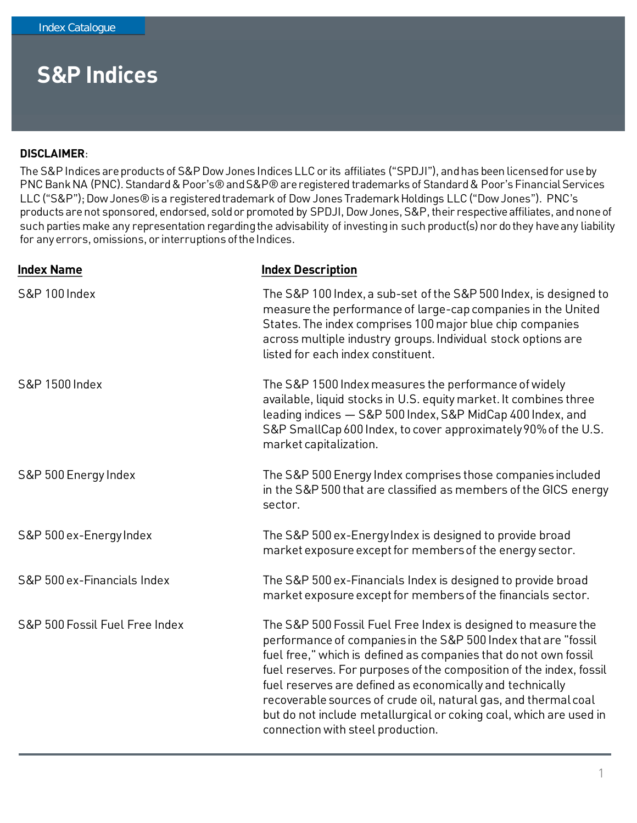#### **DISCLAIMER**:

The S&P Indices are products of S&P Dow Jones Indices LLC or its affiliates ("SPDJI"), and has been licensed for use by PNC Bank NA (PNC). Standard & Poor's® and S&P® are registered trademarks of Standard & Poor's Financial Services LLC ("S&P"); Dow Jones® is a registered trademark of Dow Jones Trademark Holdings LLC ("Dow Jones"). PNC's products are not sponsored, endorsed, sold or promoted by SPDJI, Dow Jones, S&P, their respective affiliates, and none of such parties make any representation regarding the advisability of investing in such product(s) nor do they have any liability for any errors, omissions, or interruptions of the Indices.

| <b>Index Description</b>                                                                                                                                                                                                                                                                                                                                                                                                                                                                                              |
|-----------------------------------------------------------------------------------------------------------------------------------------------------------------------------------------------------------------------------------------------------------------------------------------------------------------------------------------------------------------------------------------------------------------------------------------------------------------------------------------------------------------------|
| The S&P 100 Index, a sub-set of the S&P 500 Index, is designed to<br>measure the performance of large-cap companies in the United<br>States. The index comprises 100 major blue chip companies<br>across multiple industry groups. Individual stock options are<br>listed for each index constituent.                                                                                                                                                                                                                 |
| The S&P 1500 Index measures the performance of widely<br>available, liquid stocks in U.S. equity market. It combines three<br>leading indices - S&P 500 Index, S&P MidCap 400 Index, and<br>S&P SmallCap 600 Index, to cover approximately 90% of the U.S.<br>market capitalization.                                                                                                                                                                                                                                  |
| The S&P 500 Energy Index comprises those companies included<br>in the S&P 500 that are classified as members of the GICS energy<br>sector.                                                                                                                                                                                                                                                                                                                                                                            |
| The S&P 500 ex-Energy Index is designed to provide broad<br>market exposure except for members of the energy sector.                                                                                                                                                                                                                                                                                                                                                                                                  |
| The S&P 500 ex-Financials Index is designed to provide broad<br>market exposure except for members of the financials sector.                                                                                                                                                                                                                                                                                                                                                                                          |
| The S&P 500 Fossil Fuel Free Index is designed to measure the<br>performance of companies in the S&P 500 Index that are "fossil<br>fuel free," which is defined as companies that do not own fossil<br>fuel reserves. For purposes of the composition of the index, fossil<br>fuel reserves are defined as economically and technically<br>recoverable sources of crude oil, natural gas, and thermal coal<br>but do not include metallurgical or coking coal, which are used in<br>connection with steel production. |
|                                                                                                                                                                                                                                                                                                                                                                                                                                                                                                                       |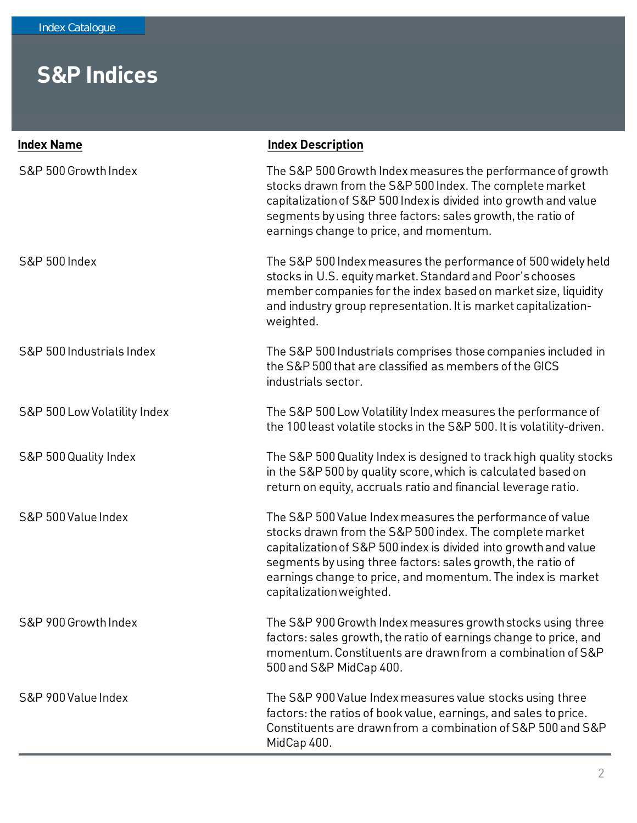| <b>Index Name</b>            | <b>Index Description</b>                                                                                                                                                                                                                                                                                                                            |
|------------------------------|-----------------------------------------------------------------------------------------------------------------------------------------------------------------------------------------------------------------------------------------------------------------------------------------------------------------------------------------------------|
| S&P 500 Growth Index         | The S&P 500 Growth Index measures the performance of growth<br>stocks drawn from the S&P 500 Index. The complete market<br>capitalization of S&P 500 Index is divided into growth and value<br>segments by using three factors: sales growth, the ratio of<br>earnings change to price, and momentum.                                               |
| <b>S&amp;P 500 Index</b>     | The S&P 500 Index measures the performance of 500 widely held<br>stocks in U.S. equity market. Standard and Poor's chooses<br>member companies for the index based on market size, liquidity<br>and industry group representation. It is market capitalization-<br>weighted.                                                                        |
| S&P 500 Industrials Index    | The S&P 500 Industrials comprises those companies included in<br>the S&P 500 that are classified as members of the GICS<br>industrials sector.                                                                                                                                                                                                      |
| S&P 500 Low Volatility Index | The S&P 500 Low Volatility Index measures the performance of<br>the 100 least volatile stocks in the S&P 500. It is volatility-driven.                                                                                                                                                                                                              |
| S&P 500 Quality Index        | The S&P 500 Quality Index is designed to track high quality stocks<br>in the S&P 500 by quality score, which is calculated based on<br>return on equity, accruals ratio and financial leverage ratio.                                                                                                                                               |
| S&P 500 Value Index          | The S&P 500 Value Index measures the performance of value<br>stocks drawn from the S&P 500 index. The complete market<br>capitalization of S&P 500 index is divided into growth and value<br>segments by using three factors: sales growth, the ratio of<br>earnings change to price, and momentum. The index is market<br>capitalization weighted. |
| S&P 900 Growth Index         | The S&P 900 Growth Index measures growth stocks using three<br>factors: sales growth, the ratio of earnings change to price, and<br>momentum. Constituents are drawn from a combination of S&P<br>500 and S&P MidCap 400.                                                                                                                           |
| S&P 900 Value Index          | The S&P 900 Value Index measures value stocks using three<br>factors: the ratios of book value, earnings, and sales to price.<br>Constituents are drawn from a combination of S&P 500 and S&P<br>MidCap 400.                                                                                                                                        |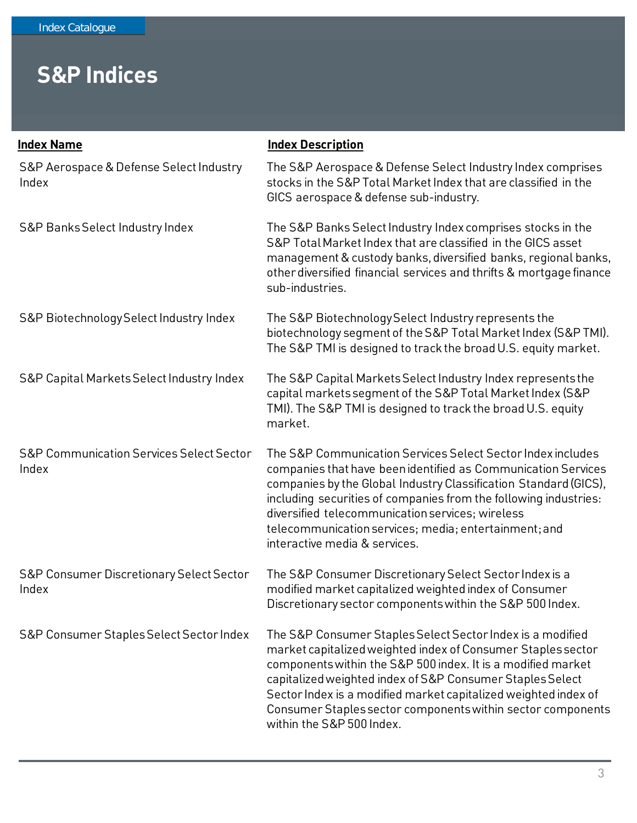| <b>Index Name</b>                                            | <b>Index Description</b>                                                                                                                                                                                                                                                                                                                                                                                               |
|--------------------------------------------------------------|------------------------------------------------------------------------------------------------------------------------------------------------------------------------------------------------------------------------------------------------------------------------------------------------------------------------------------------------------------------------------------------------------------------------|
| S&P Aerospace & Defense Select Industry<br>Index             | The S&P Aerospace & Defense Select Industry Index comprises<br>stocks in the S&P Total Market Index that are classified in the<br>GICS aerospace & defense sub-industry.                                                                                                                                                                                                                                               |
| S&P Banks Select Industry Index                              | The S&P Banks Select Industry Index comprises stocks in the<br>S&P Total Market Index that are classified in the GICS asset<br>management & custody banks, diversified banks, regional banks,<br>other diversified financial services and thrifts & mortgage finance<br>sub-industries.                                                                                                                                |
| S&P Biotechnology Select Industry Index                      | The S&P Biotechnology Select Industry represents the<br>biotechnology segment of the S&P Total Market Index (S&P TMI).<br>The S&P TMI is designed to track the broad U.S. equity market.                                                                                                                                                                                                                               |
| S&P Capital Markets Select Industry Index                    | The S&P Capital Markets Select Industry Index represents the<br>capital markets segment of the S&P Total Market Index (S&P<br>TMI). The S&P TMI is designed to track the broad U.S. equity<br>market.                                                                                                                                                                                                                  |
| <b>S&amp;P Communication Services Select Sector</b><br>Index | The S&P Communication Services Select Sector Index includes<br>companies that have been identified as Communication Services<br>companies by the Global Industry Classification Standard (GICS),<br>including securities of companies from the following industries:<br>diversified telecommunication services; wireless<br>telecommunication services; media; entertainment; and<br>interactive media & services.     |
| <b>S&amp;P Consumer Discretionary Select Sector</b><br>Index | The S&P Consumer Discretionary Select Sector Index is a<br>modified market capitalized weighted index of Consumer<br>Discretionary sector components within the S&P 500 Index.                                                                                                                                                                                                                                         |
| S&P Consumer Staples Select Sector Index                     | The S&P Consumer Staples Select Sector Index is a modified<br>market capitalized weighted index of Consumer Staples sector<br>components within the S&P 500 index. It is a modified market<br>capitalized weighted index of S&P Consumer Staples Select<br>Sector Index is a modified market capitalized weighted index of<br>Consumer Staples sector components within sector components<br>within the S&P 500 Index. |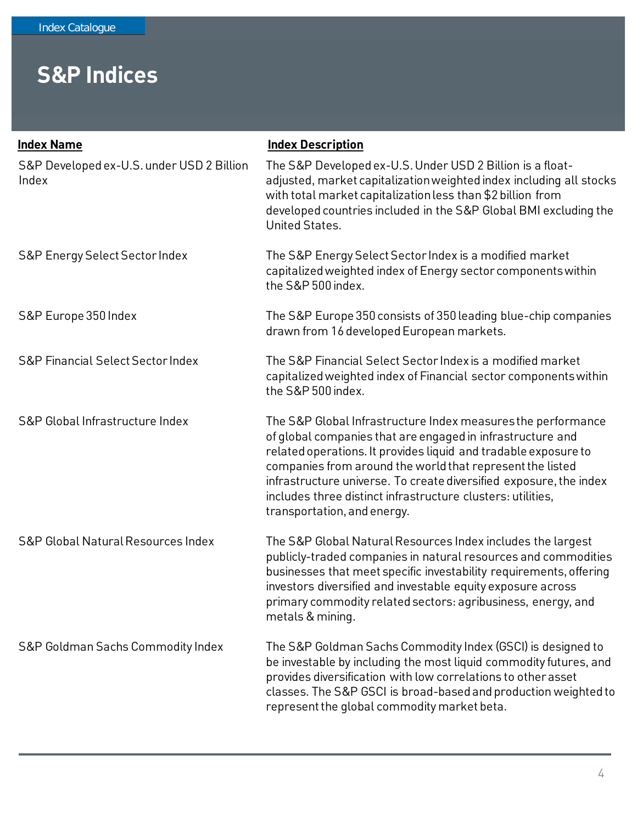| <b>Index Name</b>                                  | <b>Index Description</b>                                                                                                                                                                                                                                                                                                                                                                                                       |
|----------------------------------------------------|--------------------------------------------------------------------------------------------------------------------------------------------------------------------------------------------------------------------------------------------------------------------------------------------------------------------------------------------------------------------------------------------------------------------------------|
| S&P Developed ex-U.S. under USD 2 Billion<br>Index | The S&P Developed ex-U.S. Under USD 2 Billion is a float-<br>adjusted, market capitalization weighted index including all stocks<br>with total market capitalization less than \$2 billion from<br>developed countries included in the S&P Global BMI excluding the<br>United States.                                                                                                                                          |
| S&P Energy Select Sector Index                     | The S&P Energy Select Sector Index is a modified market<br>capitalized weighted index of Energy sector components within<br>the S&P 500 index.                                                                                                                                                                                                                                                                                 |
| S&P Europe 350 Index                               | The S&P Europe 350 consists of 350 leading blue-chip companies<br>drawn from 16 developed European markets.                                                                                                                                                                                                                                                                                                                    |
| <b>S&amp;P Financial Select Sector Index</b>       | The S&P Financial Select Sector Index is a modified market<br>capitalized weighted index of Financial sector components within<br>the S&P 500 index.                                                                                                                                                                                                                                                                           |
| S&P Global Infrastructure Index                    | The S&P Global Infrastructure Index measures the performance<br>of global companies that are engaged in infrastructure and<br>related operations. It provides liquid and tradable exposure to<br>companies from around the world that represent the listed<br>infrastructure universe. To create diversified exposure, the index<br>includes three distinct infrastructure clusters: utilities,<br>transportation, and energy. |
| S&P Global Natural Resources Index                 | The S&P Global Natural Resources Index includes the largest<br>publicly-traded companies in natural resources and commodities<br>businesses that meet specific investability requirements, offering<br>investors diversified and investable equity exposure across<br>primary commodity related sectors: agribusiness, energy, and<br>metals & mining.                                                                         |
| S&P Goldman Sachs Commodity Index                  | The S&P Goldman Sachs Commodity Index (GSCI) is designed to<br>be investable by including the most liquid commodity futures, and<br>provides diversification with low correlations to other asset<br>classes. The S&P GSCI is broad-based and production weighted to<br>represent the global commodity market beta.                                                                                                            |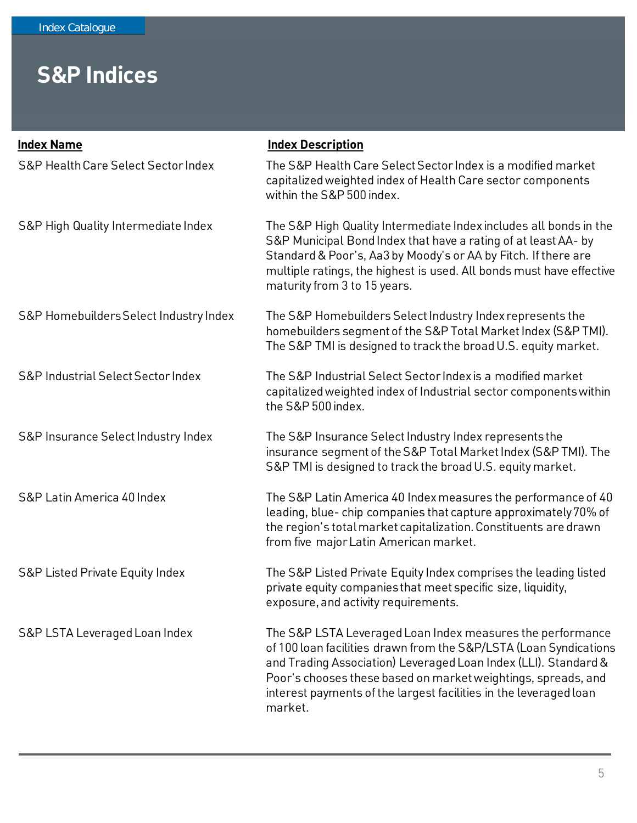| <b>Index Name</b>                      | <b>Index Description</b>                                                                                                                                                                                                                                                                                                                            |
|----------------------------------------|-----------------------------------------------------------------------------------------------------------------------------------------------------------------------------------------------------------------------------------------------------------------------------------------------------------------------------------------------------|
| S&P Health Care Select Sector Index    | The S&P Health Care Select Sector Index is a modified market<br>capitalized weighted index of Health Care sector components<br>within the S&P 500 index.                                                                                                                                                                                            |
| S&P High Quality Intermediate Index    | The S&P High Quality Intermediate Index includes all bonds in the<br>S&P Municipal Bond Index that have a rating of at least AA- by<br>Standard & Poor's, Aa3 by Moody's or AA by Fitch. If there are<br>multiple ratings, the highest is used. All bonds must have effective<br>maturity from 3 to 15 years.                                       |
| S&P Homebuilders Select Industry Index | The S&P Homebuilders Select Industry Index represents the<br>homebuilders segment of the S&P Total Market Index (S&P TMI).<br>The S&P TMI is designed to track the broad U.S. equity market.                                                                                                                                                        |
| S&P Industrial Select Sector Index     | The S&P Industrial Select Sector Index is a modified market<br>capitalized weighted index of Industrial sector components within<br>the S&P 500 index.                                                                                                                                                                                              |
| S&P Insurance Select Industry Index    | The S&P Insurance Select Industry Index represents the<br>insurance segment of the S&P Total Market Index (S&P TMI). The<br>S&P TMI is designed to track the broad U.S. equity market.                                                                                                                                                              |
| S&P Latin America 40 Index             | The S&P Latin America 40 Index measures the performance of 40<br>leading, blue-chip companies that capture approximately 70% of<br>the region's total market capitalization. Constituents are drawn<br>from five major Latin American market.                                                                                                       |
| S&P Listed Private Equity Index        | The S&P Listed Private Equity Index comprises the leading listed<br>private equity companies that meet specific size, liquidity,<br>exposure, and activity requirements.                                                                                                                                                                            |
| S&P LSTA Leveraged Loan Index          | The S&P LSTA Leveraged Loan Index measures the performance<br>of 100 loan facilities drawn from the S&P/LSTA (Loan Syndications<br>and Trading Association) Leveraged Loan Index (LLI). Standard &<br>Poor's chooses these based on market weightings, spreads, and<br>interest payments of the largest facilities in the leveraged loan<br>market. |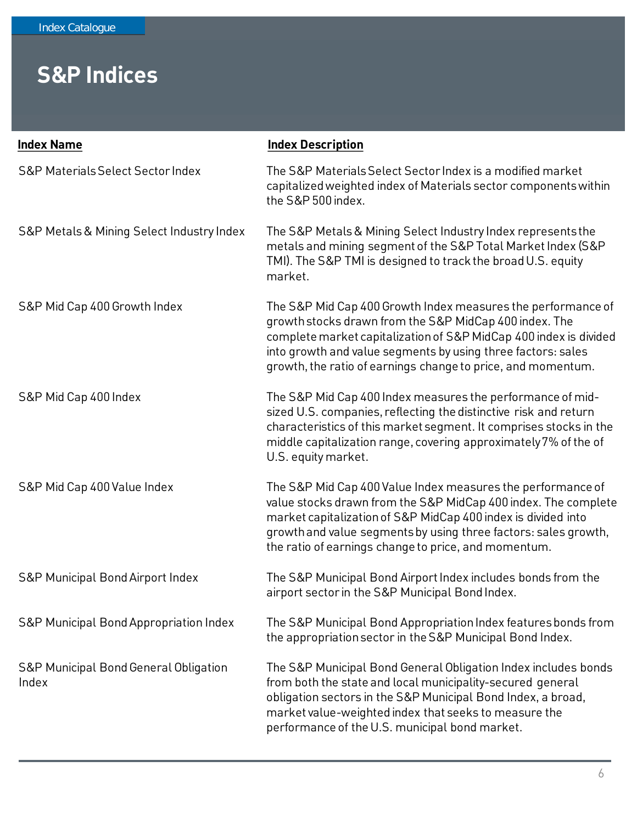| <b>Index Name</b>                                         | <b>Index Description</b>                                                                                                                                                                                                                                                                                                    |
|-----------------------------------------------------------|-----------------------------------------------------------------------------------------------------------------------------------------------------------------------------------------------------------------------------------------------------------------------------------------------------------------------------|
| <b>S&amp;P Materials Select Sector Index</b>              | The S&P Materials Select Sector Index is a modified market<br>capitalized weighted index of Materials sector components within<br>the S&P 500 index.                                                                                                                                                                        |
| S&P Metals & Mining Select Industry Index                 | The S&P Metals & Mining Select Industry Index represents the<br>metals and mining segment of the S&P Total Market Index (S&P<br>TMI). The S&P TMI is designed to track the broad U.S. equity<br>market.                                                                                                                     |
| S&P Mid Cap 400 Growth Index                              | The S&P Mid Cap 400 Growth Index measures the performance of<br>growth stocks drawn from the S&P MidCap 400 index. The<br>complete market capitalization of S&P MidCap 400 index is divided<br>into growth and value segments by using three factors: sales<br>growth, the ratio of earnings change to price, and momentum. |
| S&P Mid Cap 400 Index                                     | The S&P Mid Cap 400 Index measures the performance of mid-<br>sized U.S. companies, reflecting the distinctive risk and return<br>characteristics of this market segment. It comprises stocks in the<br>middle capitalization range, covering approximately 7% of the of<br>U.S. equity market.                             |
| S&P Mid Cap 400 Value Index                               | The S&P Mid Cap 400 Value Index measures the performance of<br>value stocks drawn from the S&P MidCap 400 index. The complete<br>market capitalization of S&P MidCap 400 index is divided into<br>growth and value segments by using three factors: sales growth,<br>the ratio of earnings change to price, and momentum.   |
| S&P Municipal Bond Airport Index                          | The S&P Municipal Bond Airport Index includes bonds from the<br>airport sector in the S&P Municipal Bond Index.                                                                                                                                                                                                             |
| <b>S&amp;P Municipal Bond Appropriation Index</b>         | The S&P Municipal Bond Appropriation Index features bonds from<br>the appropriation sector in the S&P Municipal Bond Index.                                                                                                                                                                                                 |
| <b>S&amp;P Municipal Bond General Obligation</b><br>Index | The S&P Municipal Bond General Obligation Index includes bonds<br>from both the state and local municipality-secured general<br>obligation sectors in the S&P Municipal Bond Index, a broad,<br>market value-weighted index that seeks to measure the<br>performance of the U.S. municipal bond market.                     |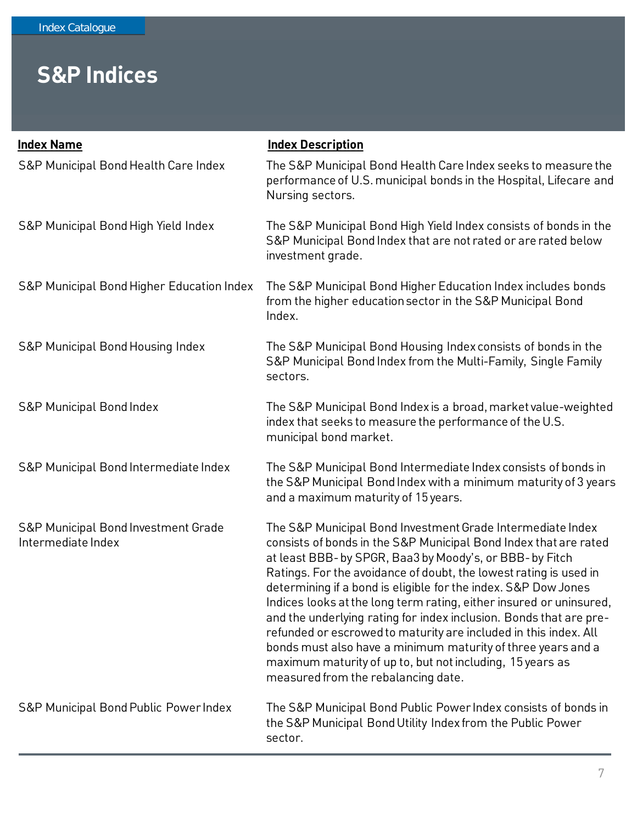| <b>Index Name</b>                                         | <b>Index Description</b>                                                                                                                                                                                                                                                                                                                                                                                                                                                                                                                                                                                                                                                                                               |
|-----------------------------------------------------------|------------------------------------------------------------------------------------------------------------------------------------------------------------------------------------------------------------------------------------------------------------------------------------------------------------------------------------------------------------------------------------------------------------------------------------------------------------------------------------------------------------------------------------------------------------------------------------------------------------------------------------------------------------------------------------------------------------------------|
| S&P Municipal Bond Health Care Index                      | The S&P Municipal Bond Health Care Index seeks to measure the<br>performance of U.S. municipal bonds in the Hospital, Lifecare and<br>Nursing sectors.                                                                                                                                                                                                                                                                                                                                                                                                                                                                                                                                                                 |
| S&P Municipal Bond High Yield Index                       | The S&P Municipal Bond High Yield Index consists of bonds in the<br>S&P Municipal Bond Index that are not rated or are rated below<br>investment grade.                                                                                                                                                                                                                                                                                                                                                                                                                                                                                                                                                                |
| S&P Municipal Bond Higher Education Index                 | The S&P Municipal Bond Higher Education Index includes bonds<br>from the higher education sector in the S&P Municipal Bond<br>Index.                                                                                                                                                                                                                                                                                                                                                                                                                                                                                                                                                                                   |
| S&P Municipal Bond Housing Index                          | The S&P Municipal Bond Housing Index consists of bonds in the<br>S&P Municipal Bond Index from the Multi-Family, Single Family<br>sectors.                                                                                                                                                                                                                                                                                                                                                                                                                                                                                                                                                                             |
| <b>S&amp;P Municipal Bond Index</b>                       | The S&P Municipal Bond Index is a broad, market value-weighted<br>index that seeks to measure the performance of the U.S.<br>municipal bond market.                                                                                                                                                                                                                                                                                                                                                                                                                                                                                                                                                                    |
| S&P Municipal Bond Intermediate Index                     | The S&P Municipal Bond Intermediate Index consists of bonds in<br>the S&P Municipal Bond Index with a minimum maturity of 3 years<br>and a maximum maturity of 15 years.                                                                                                                                                                                                                                                                                                                                                                                                                                                                                                                                               |
| S&P Municipal Bond Investment Grade<br>Intermediate Index | The S&P Municipal Bond Investment Grade Intermediate Index<br>consists of bonds in the S&P Municipal Bond Index that are rated<br>at least BBB- by SPGR, Baa3 by Moody's, or BBB- by Fitch<br>Ratings. For the avoidance of doubt, the lowest rating is used in<br>determining if a bond is eligible for the index. S&P Dow Jones<br>Indices looks at the long term rating, either insured or uninsured,<br>and the underlying rating for index inclusion. Bonds that are pre-<br>refunded or escrowed to maturity are included in this index. All<br>bonds must also have a minimum maturity of three years and a<br>maximum maturity of up to, but not including, 15 years as<br>measured from the rebalancing date. |
| S&P Municipal Bond Public Power Index                     | The S&P Municipal Bond Public Power Index consists of bonds in<br>the S&P Municipal Bond Utility Index from the Public Power<br>sector.                                                                                                                                                                                                                                                                                                                                                                                                                                                                                                                                                                                |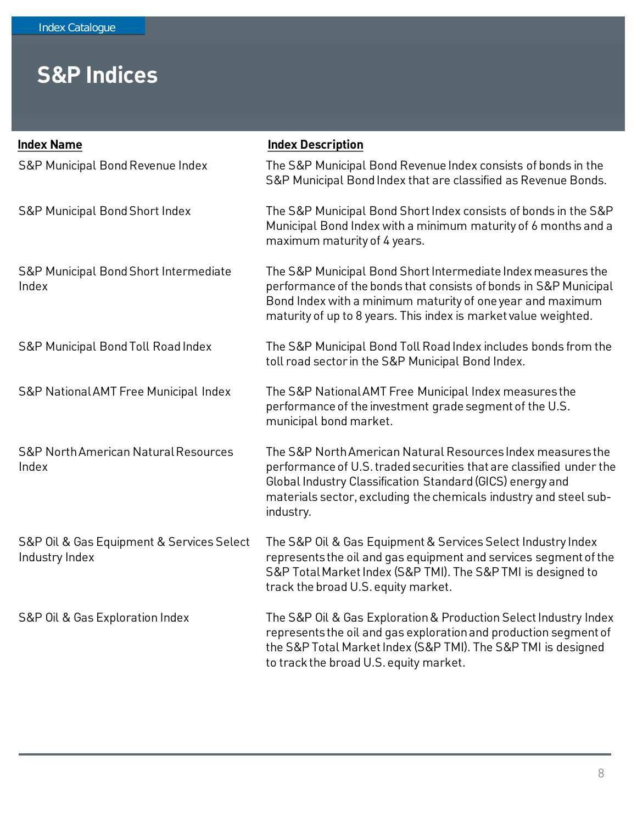| <b>Index Name</b>                                           | <b>Index Description</b>                                                                                                                                                                                                                                                          |
|-------------------------------------------------------------|-----------------------------------------------------------------------------------------------------------------------------------------------------------------------------------------------------------------------------------------------------------------------------------|
| S&P Municipal Bond Revenue Index                            | The S&P Municipal Bond Revenue Index consists of bonds in the<br>S&P Municipal Bond Index that are classified as Revenue Bonds.                                                                                                                                                   |
| <b>S&amp;P Municipal Bond Short Index</b>                   | The S&P Municipal Bond Short Index consists of bonds in the S&P<br>Municipal Bond Index with a minimum maturity of 6 months and a<br>maximum maturity of 4 years.                                                                                                                 |
| S&P Municipal Bond Short Intermediate<br>Index              | The S&P Municipal Bond Short Intermediate Index measures the<br>performance of the bonds that consists of bonds in S&P Municipal<br>Bond Index with a minimum maturity of one year and maximum<br>maturity of up to 8 years. This index is market value weighted.                 |
| S&P Municipal Bond Toll Road Index                          | The S&P Municipal Bond Toll Road Index includes bonds from the<br>toll road sector in the S&P Municipal Bond Index.                                                                                                                                                               |
| S&P National AMT Free Municipal Index                       | The S&P National AMT Free Municipal Index measures the<br>performance of the investment grade segment of the U.S.<br>municipal bond market.                                                                                                                                       |
| <b>S&amp;P North American Natural Resources</b><br>Index    | The S&P North American Natural Resources Index measures the<br>performance of U.S. traded securities that are classified under the<br>Global Industry Classification Standard (GICS) energy and<br>materials sector, excluding the chemicals industry and steel sub-<br>industry. |
| S&P Oil & Gas Equipment & Services Select<br>Industry Index | The S&P Oil & Gas Equipment & Services Select Industry Index<br>represents the oil and gas equipment and services segment of the<br>S&P Total Market Index (S&P TMI). The S&P TMI is designed to<br>track the broad U.S. equity market.                                           |
| S&P Oil & Gas Exploration Index                             | The S&P Oil & Gas Exploration & Production Select Industry Index<br>represents the oil and gas exploration and production segment of<br>the S&P Total Market Index (S&P TMI). The S&P TMI is designed<br>to track the broad U.S. equity market.                                   |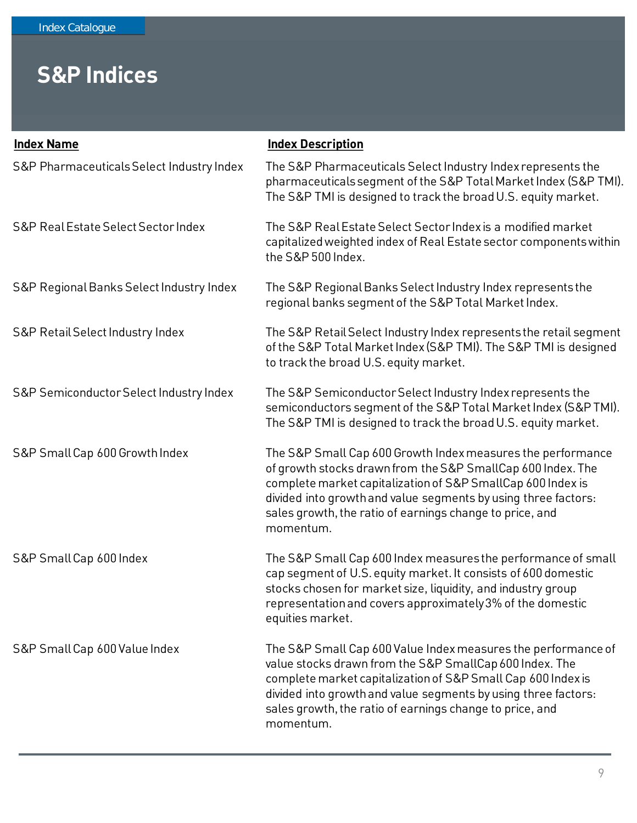| <b>Index Name</b>                         | <b>Index Description</b>                                                                                                                                                                                                                                                                                                             |
|-------------------------------------------|--------------------------------------------------------------------------------------------------------------------------------------------------------------------------------------------------------------------------------------------------------------------------------------------------------------------------------------|
| S&P Pharmaceuticals Select Industry Index | The S&P Pharmaceuticals Select Industry Index represents the<br>pharmaceuticals segment of the S&P Total Market Index (S&P TMI).<br>The S&P TMI is designed to track the broad U.S. equity market.                                                                                                                                   |
| S&P Real Estate Select Sector Index       | The S&P Real Estate Select Sector Index is a modified market<br>capitalized weighted index of Real Estate sector components within<br>the S&P 500 Index.                                                                                                                                                                             |
| S&P Regional Banks Select Industry Index  | The S&P Regional Banks Select Industry Index represents the<br>regional banks segment of the S&P Total Market Index.                                                                                                                                                                                                                 |
| S&P Retail Select Industry Index          | The S&P Retail Select Industry Index represents the retail segment<br>of the S&P Total Market Index (S&P TMI). The S&P TMI is designed<br>to track the broad U.S. equity market.                                                                                                                                                     |
| S&P Semiconductor Select Industry Index   | The S&P Semiconductor Select Industry Index represents the<br>semiconductors segment of the S&P Total Market Index (S&P TMI).<br>The S&P TMI is designed to track the broad U.S. equity market.                                                                                                                                      |
| S&P Small Cap 600 Growth Index            | The S&P Small Cap 600 Growth Index measures the performance<br>of growth stocks drawn from the S&P SmallCap 600 Index. The<br>complete market capitalization of S&P SmallCap 600 Index is<br>divided into growth and value segments by using three factors:<br>sales growth, the ratio of earnings change to price, and<br>momentum. |
| S&P Small Cap 600 Index                   | The S&P Small Cap 600 Index measures the performance of small<br>cap segment of U.S. equity market. It consists of 600 domestic<br>stocks chosen for market size, liquidity, and industry group<br>representation and covers approximately 3% of the domestic<br>equities market.                                                    |
| S&P Small Cap 600 Value Index             | The S&P Small Cap 600 Value Index measures the performance of<br>value stocks drawn from the S&P SmallCap 600 Index. The<br>complete market capitalization of S&P Small Cap 600 Index is<br>divided into growth and value segments by using three factors:<br>sales growth, the ratio of earnings change to price, and<br>momentum.  |